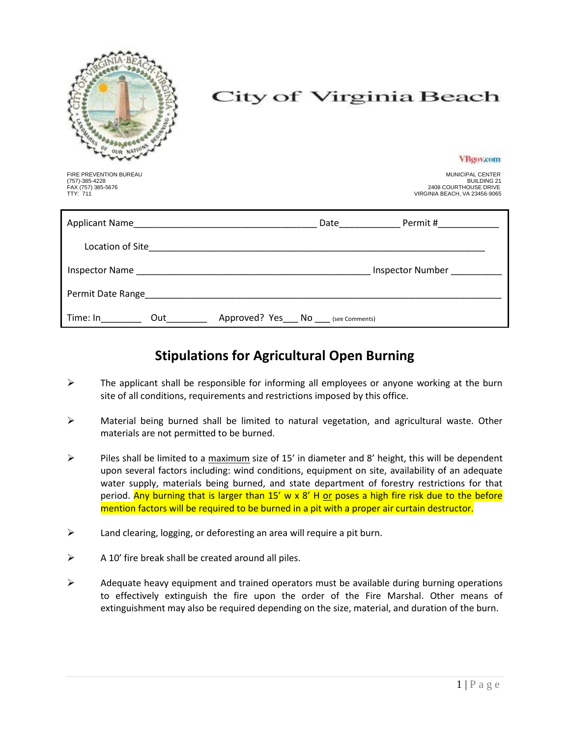

## City of Virginia Beach

**VBgov.com** 

FIRE PREVENTION BUREAU MUNICIPAL CENTER (757)-385-4228 BUILDING 21 TEXT (757) 385-5676<br>FAX (757) 385-5676 2408 COURTHOUSE DRIVE<br>TTY: 711 23456-9065 VIRGINIA BEACH, VA 23456-9065

| Applicant Name and the state of the state of the state of the state of the state of the state of the state of the state of the state of the state of the state of the state of the state of the state of the state of the stat | Permit #<br><b>Date</b> |
|--------------------------------------------------------------------------------------------------------------------------------------------------------------------------------------------------------------------------------|-------------------------|
| Location of Site                                                                                                                                                                                                               |                         |
| Inspector Name and the contract of the contract of the contract of the contract of the contract of the contract of the contract of the contract of the contract of the contract of the contract of the contract of the contrac | Inspector Number        |
| Permit Date Range and the contract of the contract of the contract of the contract of the contract of the contract of the contract of the contract of the contract of the contract of the contract of the contract of the cont |                         |
| Time: In<br>Approved? Yes No (see Comments)<br>Out                                                                                                                                                                             |                         |

## **Stipulations for Agricultural Open Burning**

- $\triangleright$  The applicant shall be responsible for informing all employees or anyone working at the burn site of all conditions, requirements and restrictions imposed by this office.
- $\triangleright$  Material being burned shall be limited to natural vegetation, and agricultural waste. Other materials are not permitted to be burned.
- $\triangleright$  Piles shall be limited to a maximum size of 15' in diameter and 8' height, this will be dependent upon several factors including: wind conditions, equipment on site, availability of an adequate water supply, materials being burned, and state department of forestry restrictions for that period. Any burning that is larger than 15' w x 8' H or poses a high fire risk due to the before mention factors will be required to be burned in a pit with a proper air curtain destructor.
- $\triangleright$  Land clearing, logging, or deforesting an area will require a pit burn.
- $\triangleright$  A 10' fire break shall be created around all piles.
- $\triangleright$  Adequate heavy equipment and trained operators must be available during burning operations to effectively extinguish the fire upon the order of the Fire Marshal. Other means of extinguishment may also be required depending on the size, material, and duration of the burn.